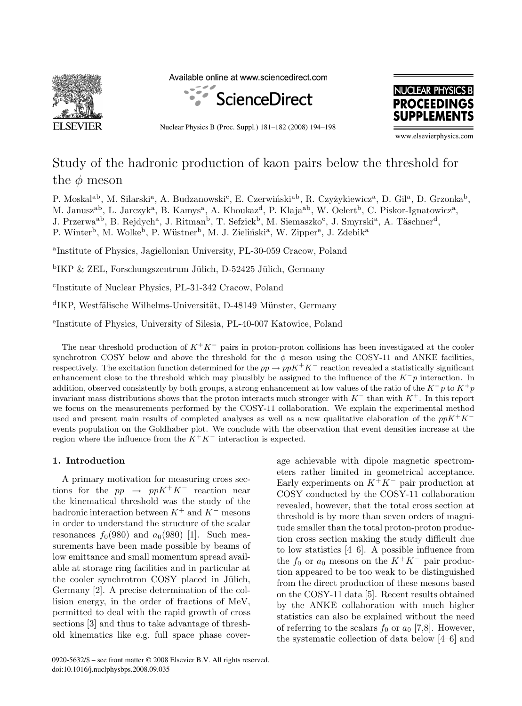

Available online at www.sciencedirect.com



Nuclear Physics B (Proc. Suppl.) 181–182 (2008) 194–198



www.elsevierphysics.com

# Study of the hadronic production of kaon pairs below the threshold for the  $\phi$  meson

P. Moskal<sup>ab</sup>, M. Silarski<sup>a</sup>, A. Budzanowski<sup>c</sup>, E. Czerwiński<sup>ab</sup>, R. Czyżykiewicz<sup>a</sup>, D. Gil<sup>a</sup>, D. Grzonka<sup>b</sup>, M. Janusz<sup>ab</sup>, L. Jarczyk<sup>a</sup>, B. Kamys<sup>a</sup>, A. Khoukaz<sup>d</sup>, P. Klaja<sup>ab</sup>, W. Oelert<sup>b</sup>, C. Piskor-Ignatowicz<sup>a</sup>, J. Przerwa<sup>ab</sup>, B. Rejdych<sup>a</sup>, J. Ritman<sup>b</sup>, T. Sefzick<sup>b</sup>, M. Siemaszko<sup>e</sup>, J. Smyrski<sup>a</sup>, A. Täschner<sup>d</sup>, P. Winter<sup>b</sup>, M. Wolke<sup>b</sup>, P. Wüstner<sup>b</sup>, M. J. Zieliński<sup>a</sup>, W. Zipper<sup>e</sup>, J. Zdebik<sup>a</sup>

<sup>a</sup>Institute of Physics, Jagiellonian University, PL-30-059 Cracow, Poland

 $\rm{^{b}IKP}$  & ZEL, Forschungszentrum Jülich, D-52425 Jülich, Germany

<sup>c</sup>Institute of Nuclear Physics, PL-31-342 Cracow, Poland

<sup>d</sup>IKP, Westfälische Wilhelms-Universität, D-48149 Münster, Germany

<sup>e</sup>Institute of Physics, University of Silesia, PL-40-007 Katowice, Poland

The near threshold production of K<sup>+</sup>K*<sup>−</sup>* pairs in proton-proton collisions has been investigated at the cooler synchrotron COSY below and above the threshold for the  $\phi$  meson using the COSY-11 and ANKE facilities, respectively. The excitation function determined for the  $pp \to ppK^+K^-$  reaction revealed a statistically significant enhancement close to the threshold which may plausibly be assigned to the influence of the K*−*p interaction. In addition, observed consistently by both groups, a strong enhancement at low values of the ratio of the  $K^-p$  to  $K^+p$ invariant mass distributions shows that the proton interacts much stronger with K*<sup>−</sup>* than with K<sup>+</sup>. In this report we focus on the measurements performed by the COSY-11 collaboration. We explain the experimental method used and present main results of completed analyses as well as a new qualitative elaboration of the ppK<sup>+</sup>K*<sup>−</sup>* events population on the Goldhaber plot. We conclude with the observation that event densities increase at the region where the influence from the  $K^+K^-$  interaction is expected.

#### **1. Introduction**

A primary motivation for measuring cross sections for the  $pp \rightarrow ppK^+K^-$  reaction near the kinematical threshold was the study of the hadronic interaction between K<sup>+</sup> and K*<sup>−</sup>* mesons in order to understand the structure of the scalar resonances  $f_0(980)$  and  $a_0(980)$  [1]. Such measurements have been made possible by beams of low emittance and small momentum spread available at storage ring facilities and in particular at the cooler synchrotron COSY placed in Jülich, Germany [2]. A precise determination of the collision energy, in the order of fractions of MeV, permitted to deal with the rapid growth of cross sections [3] and thus to take advantage of threshold kinematics like e.g. full space phase coverage achievable with dipole magnetic spectrometers rather limited in geometrical acceptance. Early experiments on  $K^+K^-$  pair production at COSY conducted by the COSY-11 collaboration revealed, however, that the total cross section at threshold is by more than seven orders of magnitude smaller than the total proton-proton production cross section making the study difficult due to low statistics [4–6]. A possible influence from the  $f_0$  or  $a_0$  mesons on the  $K^+K^-$  pair production appeared to be too weak to be distinguished from the direct production of these mesons based on the COSY-11 data [5]. Recent results obtained by the ANKE collaboration with much higher statistics can also be explained without the need of referring to the scalars  $f_0$  or  $a_0$  [7,8]. However, the systematic collection of data below [4–6] and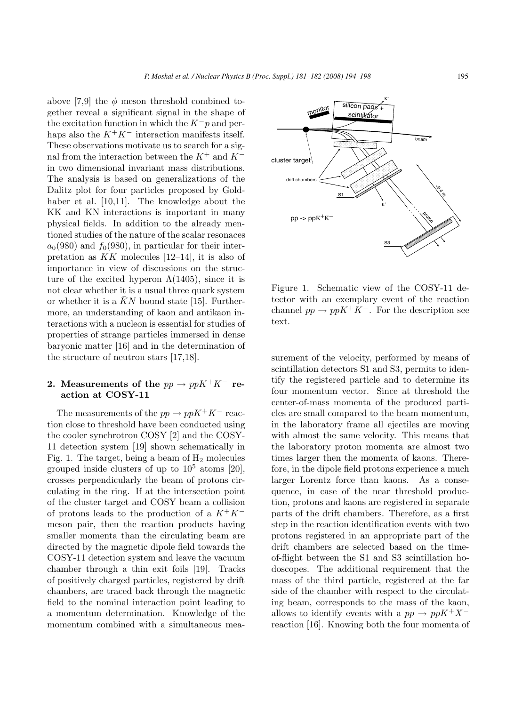above [7,9] the  $\phi$  meson threshold combined together reveal a significant signal in the shape of the excitation function in which the K*−*p and perhaps also the  $K^+K^-$  interaction manifests itself. These observations motivate us to search for a signal from the interaction between the K<sup>+</sup> and K*<sup>−</sup>* in two dimensional invariant mass distributions. The analysis is based on generalizations of the Dalitz plot for four particles proposed by Goldhaber et al. [10,11]. The knowledge about the KK and KN interactions is important in many physical fields. In addition to the already mentioned studies of the nature of the scalar resonaces  $a_0(980)$  and  $f_0(980)$ , in particular for their interpretation as  $K\bar{K}$  molecules [12–14], it is also of importance in view of discussions on the structure of the excited hyperon  $\Lambda(1405)$ , since it is not clear whether it is a usual three quark system or whether it is a  $KN$  bound state [15]. Furthermore, an understanding of kaon and antikaon interactions with a nucleon is essential for studies of properties of strange particles immersed in dense baryonic matter [16] and in the determination of the structure of neutron stars [17,18].

## 2. Measurements of the  $pp \rightarrow ppK^+K^-$  re**action at COSY-11**

The measurements of the  $pp \rightarrow ppK^+K^-$  reaction close to threshold have been conducted using the cooler synchrotron COSY [2] and the COSY-11 detection system [19] shown schematically in Fig. 1. The target, being a beam of  $H_2$  molecules grouped inside clusters of up to  $10^5$  atoms [20], crosses perpendicularly the beam of protons circulating in the ring. If at the intersection point of the cluster target and COSY beam a collision of protons leads to the production of a K<sup>+</sup>K*<sup>−</sup>* meson pair, then the reaction products having smaller momenta than the circulating beam are directed by the magnetic dipole field towards the COSY-11 detection system and leave the vacuum chamber through a thin exit foils [19]. Tracks of positively charged particles, registered by drift chambers, are traced back through the magnetic field to the nominal interaction point leading to a momentum determination. Knowledge of the momentum combined with a simultaneous mea-



Figure 1. Schematic view of the COSY-11 detector with an exemplary event of the reaction channel  $pp \to ppK^+K^-$ . For the description see text.

surement of the velocity, performed by means of scintillation detectors S1 and S3, permits to identify the registered particle and to determine its four momentum vector. Since at threshold the center-of-mass momenta of the produced particles are small compared to the beam momentum, in the laboratory frame all ejectiles are moving with almost the same velocity. This means that the laboratory proton momenta are almost two times larger then the momenta of kaons. Therefore, in the dipole field protons experience a much larger Lorentz force than kaons. As a consequence, in case of the near threshold production, protons and kaons are registered in separate parts of the drift chambers. Therefore, as a first step in the reaction identification events with two protons registered in an appropriate part of the drift chambers are selected based on the timeof-flight between the S1 and S3 scintillation hodoscopes. The additional requirement that the mass of the third particle, registered at the far side of the chamber with respect to the circulating beam, corresponds to the mass of the kaon, allows to identify events with a  $pp \rightarrow ppK^+X^$ reaction [16]. Knowing both the four momenta of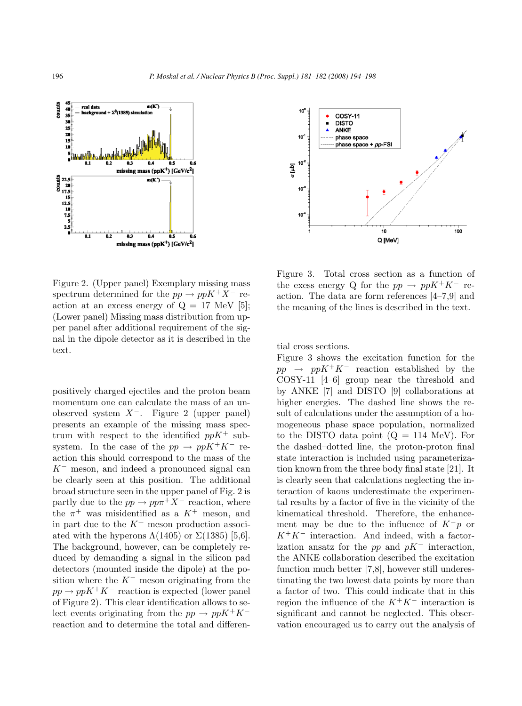

Figure 2. (Upper panel) Exemplary missing mass spectrum determined for the  $pp \rightarrow ppK^+X^-$  reaction at an excess energy of  $Q = 17$  MeV [5]; (Lower panel) Missing mass distribution from upper panel after additional requirement of the signal in the dipole detector as it is described in the text.

positively charged ejectiles and the proton beam momentum one can calculate the mass of an unobserved system X*−*. Figure 2 (upper panel) presents an example of the missing mass spectrum with respect to the identified  $ppK^+$  subsystem. In the case of the  $pp \rightarrow ppK^+K^-$  reaction this should correspond to the mass of the K*<sup>−</sup>* meson, and indeed a pronounced signal can be clearly seen at this position. The additional broad structure seen in the upper panel of Fig. 2 is partly due to the  $pp \to pp\pi^+ X^-$  reaction, where the  $\pi^+$  was misidentified as a  $K^+$  meson, and in part due to the  $K^+$  meson production associated with the hyperons  $\Lambda(1405)$  or  $\Sigma(1385)$  [5,6]. The background, however, can be completely reduced by demanding a signal in the silicon pad detectors (mounted inside the dipole) at the position where the K*<sup>−</sup>* meson originating from the  $pp \to ppK^+K^-$  reaction is expected (lower panel of Figure 2). This clear identification allows to select events originating from the  $pp \rightarrow ppK^+K^$ reaction and to determine the total and differen-



Figure 3. Total cross section as a function of the exess energy Q for the  $pp \rightarrow ppK^+K^-$  reaction. The data are form references [4–7,9] and the meaning of the lines is described in the text.

tial cross sections.

Figure 3 shows the excitation function for the pp <sup>→</sup> ppK<sup>+</sup>K*<sup>−</sup>* reaction established by the COSY-11 [4–6] group near the threshold and by ANKE [7] and DISTO [9] collaborations at higher energies. The dashed line shows the result of calculations under the assumption of a homogeneous phase space population, normalized to the DISTO data point  $(Q = 114 \text{ MeV})$ . For the dashed–dotted line, the proton-proton final state interaction is included using parameterization known from the three body final state [21]. It is clearly seen that calculations neglecting the interaction of kaons underestimate the experimental results by a factor of five in the vicinity of the kinematical threshold. Therefore, the enhancement may be due to the influence of K*−*p or K<sup>+</sup>K*<sup>−</sup>* interaction. And indeed, with a factorization ansatz for the pp and pK*<sup>−</sup>* interaction, the ANKE collaboration described the excitation function much better [7,8], however still underestimating the two lowest data points by more than a factor of two. This could indicate that in this region the influence of the K<sup>+</sup>K*<sup>−</sup>* interaction is significant and cannot be neglected. This observation encouraged us to carry out the analysis of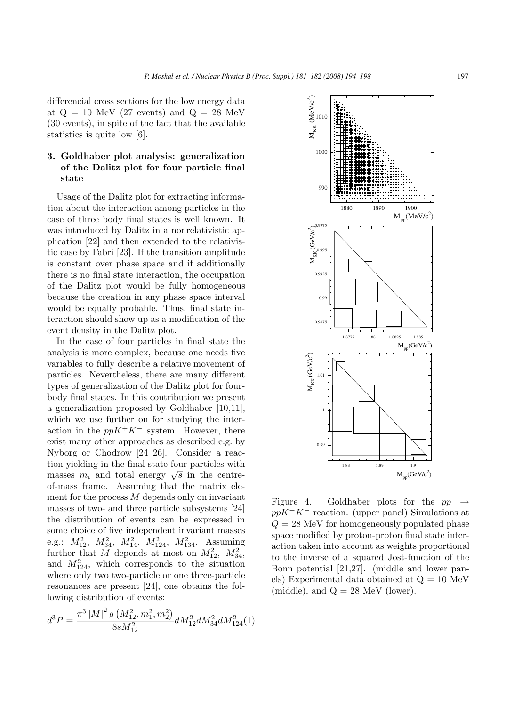differencial cross sections for the low energy data at  $Q = 10$  MeV (27 events) and  $Q = 28$  MeV (30 events), in spite of the fact that the available statistics is quite low [6].

## **3. Goldhaber plot analysis: generalization of the Dalitz plot for four particle final state**

Usage of the Dalitz plot for extracting information about the interaction among particles in the case of three body final states is well known. It was introduced by Dalitz in a nonrelativistic application [22] and then extended to the relativistic case by Fabri [23]. If the transition amplitude is constant over phase space and if additionally there is no final state interaction, the occupation of the Dalitz plot would be fully homogeneous because the creation in any phase space interval would be equally probable. Thus, final state interaction should show up as a modification of the event density in the Dalitz plot.

In the case of four particles in final state the analysis is more complex, because one needs five variables to fully describe a relative movement of particles. Nevertheless, there are many different types of generalization of the Dalitz plot for fourbody final states. In this contribution we present a generalization proposed by Goldhaber [10,11], which we use further on for studying the interaction in the  $ppK^+K^-$  system. However, there exist many other approaches as described e.g. by Nyborg or Chodrow [24–26]. Consider a reaction yielding in the final state four particles with masses  $m_i$  and total energy  $\sqrt{s}$  in the centreof-mass frame. Assuming that the matrix element for the process  $M$  depends only on invariant masses of two- and three particle subsystems [24] the distribution of events can be expressed in some choice of five independent invariant masses e.g.:  $M_{12}^2$ ,  $M_{34}^2$ ,  $M_{14}^2$ ,  $M_{124}^2$ ,  $M_{134}^2$ . Assuming further that M depends at most on  $M_{12}^2$ ,  $M_{34}^2$ , and  $M_{124}^2$ , which corresponds to the situation where only two two-particle or one three-particle resonances are present [24], one obtains the following distribution of events:

$$
d^{3}P = \frac{\pi^{3}\left|M\right|^{2}g\left(M_{12}^{2},m_{1}^{2},m_{2}^{2}\right)}{8sM_{12}^{2}}dM_{12}^{2}dM_{34}^{2}dM_{124}^{2}(1)
$$



Figure 4. Goldhaber plots for the  $pp \rightarrow$ ppK<sup>+</sup>K<sup>−</sup> reaction. (upper panel) Simulations at  $Q = 28$  MeV for homogeneously populated phase space modified by proton-proton final state interaction taken into account as weights proportional to the inverse of a squared Jost-function of the Bonn potential [21,27]. (middle and lower panels) Experimental data obtained at Q = 10 MeV (middle), and  $Q = 28$  MeV (lower).